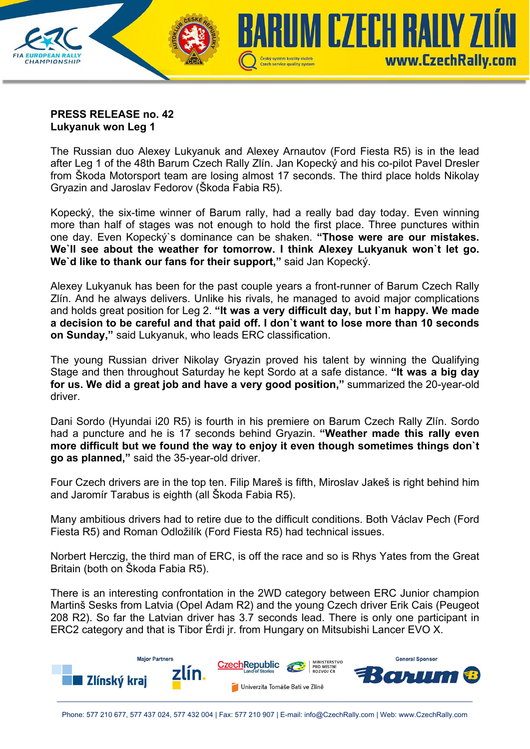

## **PRESS RELEASE no. 42 Lukyanuk won Leg 1**

The Russian duo Alexey Lukyanuk and Alexey Arnautov (Ford Fiesta R5) is in the lead after Leg 1 of the 48th Barum Czech Rally Zlín. Jan Kopecký and his co-pilot Pavel Dresler from Škoda Motorsport team are losing almost 17 seconds. The third place holds Nikolay Gryazin and Jaroslav Fedorov (Škoda Fabia R5).

Kopecký, the six-time winner of Barum rally, had a really bad day today. Even winning more than half of stages was not enough to hold the first place. Three punctures within one day. Even Kopecký`s dominance can be shaken. **"Those were are our mistakes. We`ll see about the weather for tomorrow. I think Alexey Lukyanuk won`t let go. We`d like to thank our fans for their support,"** said Jan Kopecký.

Alexey Lukyanuk has been for the past couple years a front-runner of Barum Czech Rally Zlín. And he always delivers. Unlike his rivals, he managed to avoid major complications and holds great position for Leg 2. **"It was a very difficult day, but I`m happy. We made a decision to be careful and that paid off. I don`t want to lose more than 10 seconds on Sunday,"** said Lukyanuk, who leads ERC classification.

The young Russian driver Nikolay Gryazin proved his talent by winning the Qualifying Stage and then throughout Saturday he kept Sordo at a safe distance. **"It was a big day for us. We did a great job and have a very good position,"** summarized the 20-year-old driver.

Dani Sordo (Hyundai i20 R5) is fourth in his premiere on Barum Czech Rally Zlín. Sordo had a puncture and he is 17 seconds behind Gryazin. **"Weather made this rally even more difficult but we found the way to enjoy it even though sometimes things don`t go as planned,"** said the 35-year-old driver.

Four Czech drivers are in the top ten. Filip Mareš is fifth, Miroslav Jakeš is right behind him and Jaromír Tarabus is eighth (all Škoda Fabia R5).

Many ambitious drivers had to retire due to the difficult conditions. Both Václav Pech (Ford Fiesta R5) and Roman Odložilík (Ford Fiesta R5) had technical issues.

Norbert Herczig, the third man of ERC, is off the race and so is Rhys Yates from the Great Britain (both on Škoda Fabia R5).

There is an interesting confrontation in the 2WD category between ERC Junior champion Martinš Sesks from Latvia (Opel Adam R2) and the young Czech driver Erik Cais (Peugeot 208 R2). So far the Latvian driver has 3.7 seconds lead. There is only one participant in ERC2 category and that is Tibor Érdi jr. from Hungary on Mitsubishi Lancer EVO X.